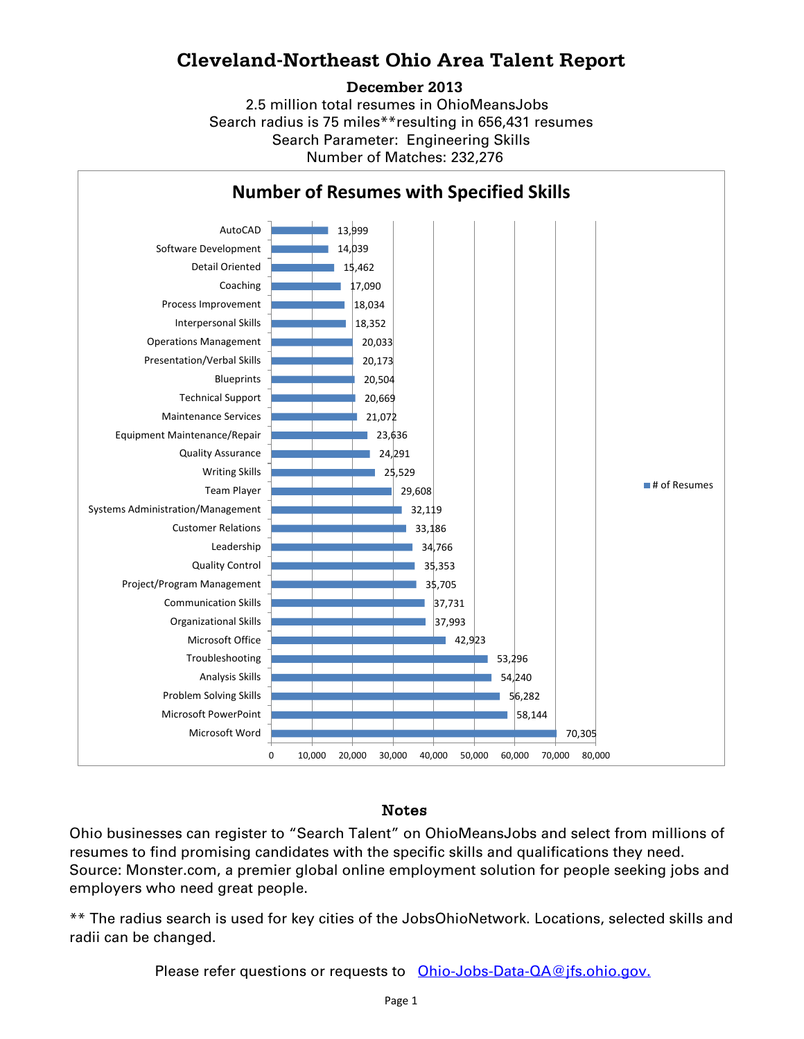## **Cleveland-Northeast Ohio Area Talent Report**

### **December 2013**

2.5 million total resumes in OhioMeansJobs Search radius is 75 miles\*\*resulting in 656,431 resumes Number of Matches: 232,276 Search Parameter: Engineering Skills



## Notes

Ohio businesses can register to "Search Talent" on OhioMeansJobs and select from millions of resumes to find promising candidates with the specific skills and qualifications they need. Source: Monster.com, a premier global online employment solution for people seeking jobs and employers who need great people.

\*\* The radius search is used for key cities of the JobsOhioNetwork. Locations, selected skills and radii can be changed.

Please refer questions or requests to [Ohio-Jobs-Data-QA@jfs.ohio.gov.](mailto:Ohio-Jobs-Data-QA@jfs.ohio.gov.)